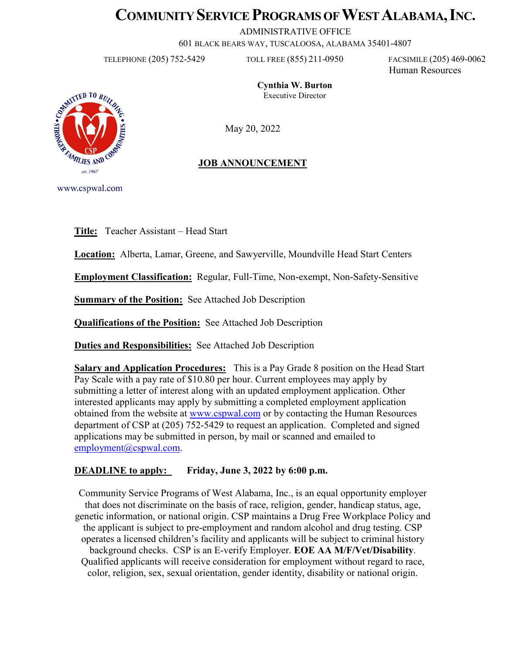# **COMMUNITY SERVICE PROGRAMS OF WEST ALABAMA, INC.**

ADMINISTRATIVE OFFICE

601 BLACK BEARS WAY, TUSCALOOSA, ALABAMA 35401-4807

TELEPHONE (205) 752-5429 TOLL FREE (855) 211-0950 FACSIMILE (205) 469-0062

Human Resources

**Cynthia W. Burton** Executive Director

May 20, 2022

# **JOB ANNOUNCEMENT**

www.cspwal.com

**Title:** Teacher Assistant – Head Start

**Location:** Alberta, Lamar, Greene, and Sawyerville, Moundville Head Start Centers

**Employment Classification:** Regular, Full-Time, Non-exempt, Non-Safety-Sensitive

**Summary of the Position:** See Attached Job Description

**Qualifications of the Position:** See Attached Job Description

**Duties and Responsibilities:** See Attached Job Description

**Salary and Application Procedures:** This is a Pay Grade 8 position on the Head Start Pay Scale with a pay rate of \$10.80 per hour. Current employees may apply by submitting a letter of interest along with an updated employment application. Other interested applicants may apply by submitting a completed employment application obtained from the website at [www.cspwal.com](http://www.cspwal.com/) or by contacting the Human Resources department of CSP at (205) 752-5429 to request an application. Completed and signed applications may be submitted in person, by mail or scanned and emailed to [employment@cspwal.com.](mailto:employment@cspwal.com)

## **DEADLINE to apply:** Friday, June 3, 2022 by 6:00 p.m.

Community Service Programs of West Alabama, Inc., is an equal opportunity employer that does not discriminate on the basis of race, religion, gender, handicap status, age, genetic information, or national origin. CSP maintains a Drug Free Workplace Policy and the applicant is subject to pre-employment and random alcohol and drug testing. CSP operates a licensed children's facility and applicants will be subject to criminal history background checks. CSP is an E-verify Employer. **EOE AA M/F/Vet/Disability**. Qualified applicants will receive consideration for employment without regard to race, color, religion, sex, sexual orientation, gender identity, disability or national origin.

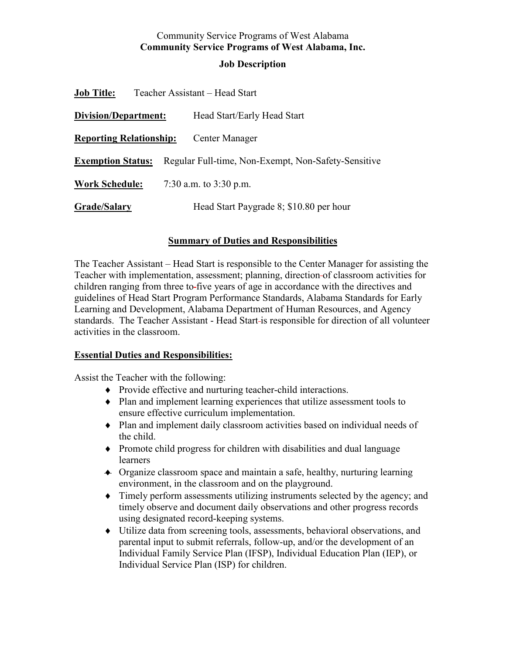# Community Service Programs of West Alabama **Community Service Programs of West Alabama, Inc.**

#### **Job Description**

| <b>Job Title:</b>              |                          | Teacher Assistant – Head Start                      |
|--------------------------------|--------------------------|-----------------------------------------------------|
| Division/Department:           |                          | Head Start/Early Head Start                         |
| <b>Reporting Relationship:</b> |                          | Center Manager                                      |
| <b>Exemption Status:</b>       |                          | Regular Full-time, Non-Exempt, Non-Safety-Sensitive |
| <b>Work Schedule:</b>          | 7:30 a.m. to $3:30$ p.m. |                                                     |
| <b>Grade/Salary</b>            |                          | Head Start Paygrade 8; \$10.80 per hour             |

## **Summary of Duties and Responsibilities**

The Teacher Assistant – Head Start is responsible to the Center Manager for assisting the Teacher with implementation, assessment; planning, direction of classroom activities for children ranging from three to five years of age in accordance with the directives and guidelines of Head Start Program Performance Standards, Alabama Standards for Early Learning and Development, Alabama Department of Human Resources, and Agency standards. The Teacher Assistant - Head Start is responsible for direction of all volunteer activities in the classroom.

#### **Essential Duties and Responsibilities:**

Assist the Teacher with the following:

- ♦ Provide effective and nurturing teacher-child interactions.
- ♦ Plan and implement learning experiences that utilize assessment tools to ensure effective curriculum implementation.
- ♦ Plan and implement daily classroom activities based on individual needs of the child.
- ♦ Promote child progress for children with disabilities and dual language learners
- ♦ Organize classroom space and maintain a safe, healthy, nurturing learning environment, in the classroom and on the playground.
- ♦ Timely perform assessments utilizing instruments selected by the agency; and timely observe and document daily observations and other progress records using designated record-keeping systems.
- ♦ Utilize data from screening tools, assessments, behavioral observations, and parental input to submit referrals, follow-up, and/or the development of an Individual Family Service Plan (IFSP), Individual Education Plan (IEP), or Individual Service Plan (ISP) for children.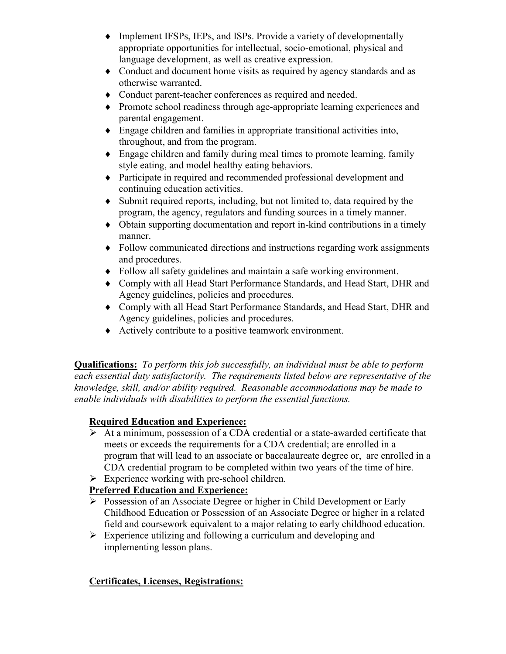- ♦ Implement IFSPs, IEPs, and ISPs. Provide a variety of developmentally appropriate opportunities for intellectual, socio-emotional, physical and language development, as well as creative expression.
- ♦ Conduct and document home visits as required by agency standards and as otherwise warranted.
- ♦ Conduct parent-teacher conferences as required and needed.
- ♦ Promote school readiness through age-appropriate learning experiences and parental engagement.
- ♦ Engage children and families in appropriate transitional activities into, throughout, and from the program.
- ♦ Engage children and family during meal times to promote learning, family style eating, and model healthy eating behaviors.
- ♦ Participate in required and recommended professional development and continuing education activities.
- ♦ Submit required reports, including, but not limited to, data required by the program, the agency, regulators and funding sources in a timely manner.
- ♦ Obtain supporting documentation and report in-kind contributions in a timely manner.
- ♦ Follow communicated directions and instructions regarding work assignments and procedures.
- ♦ Follow all safety guidelines and maintain a safe working environment.
- ♦ Comply with all Head Start Performance Standards, and Head Start, DHR and Agency guidelines, policies and procedures.
- ♦ Comply with all Head Start Performance Standards, and Head Start, DHR and Agency guidelines, policies and procedures.
- ♦ Actively contribute to a positive teamwork environment.

**Qualifications:** *To perform this job successfully, an individual must be able to perform each essential duty satisfactorily. The requirements listed below are representative of the knowledge, skill, and/or ability required. Reasonable accommodations may be made to enable individuals with disabilities to perform the essential functions.*

# **Required Education and Experience:**

- $\triangleright$  At a minimum, possession of a CDA credential or a state-awarded certificate that meets or exceeds the requirements for a CDA credential; are enrolled in a program that will lead to an associate or baccalaureate degree or, are enrolled in a CDA credential program to be completed within two years of the time of hire.
- $\triangleright$  Experience working with pre-school children.

# **Preferred Education and Experience:**

- Possession of an Associate Degree or higher in Child Development or Early Childhood Education or Possession of an Associate Degree or higher in a related field and coursework equivalent to a major relating to early childhood education.
- $\triangleright$  Experience utilizing and following a curriculum and developing and implementing lesson plans.

# **Certificates, Licenses, Registrations:**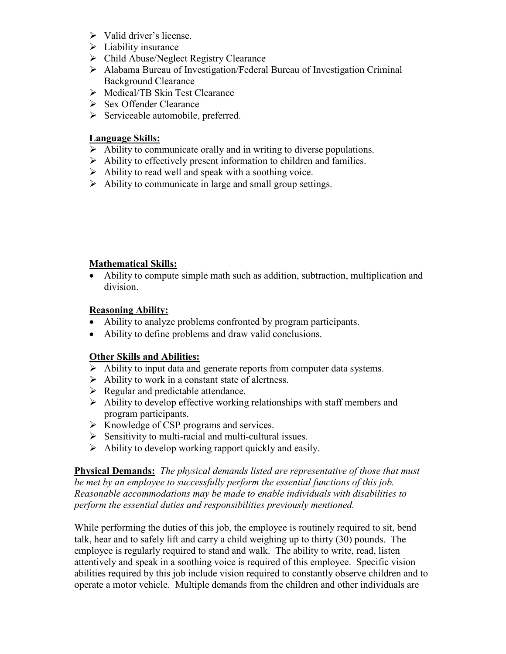- $\triangleright$  Valid driver's license.
- $\triangleright$  Liability insurance
- Child Abuse/Neglect Registry Clearance
- Alabama Bureau of Investigation/Federal Bureau of Investigation Criminal Background Clearance
- Medical/TB Skin Test Clearance
- $\triangleright$  Sex Offender Clearance
- $\triangleright$  Serviceable automobile, preferred.

### **Language Skills:**

- $\triangleright$  Ability to communicate orally and in writing to diverse populations.
- $\triangleright$  Ability to effectively present information to children and families.
- $\triangleright$  Ability to read well and speak with a soothing voice.
- $\triangleright$  Ability to communicate in large and small group settings.

### **Mathematical Skills:**

• Ability to compute simple math such as addition, subtraction, multiplication and division.

### **Reasoning Ability:**

- Ability to analyze problems confronted by program participants.
- Ability to define problems and draw valid conclusions.

## **Other Skills and Abilities:**

- $\triangleright$  Ability to input data and generate reports from computer data systems.
- $\triangleright$  Ability to work in a constant state of alertness.
- $\triangleright$  Regular and predictable attendance.
- $\triangleright$  Ability to develop effective working relationships with staff members and program participants.
- $\triangleright$  Knowledge of CSP programs and services.
- $\triangleright$  Sensitivity to multi-racial and multi-cultural issues.
- $\triangleright$  Ability to develop working rapport quickly and easily.

**Physical Demands:** *The physical demands listed are representative of those that must be met by an employee to successfully perform the essential functions of this job. Reasonable accommodations may be made to enable individuals with disabilities to perform the essential duties and responsibilities previously mentioned.*

While performing the duties of this job, the employee is routinely required to sit, bend talk, hear and to safely lift and carry a child weighing up to thirty (30) pounds. The employee is regularly required to stand and walk. The ability to write, read, listen attentively and speak in a soothing voice is required of this employee. Specific vision abilities required by this job include vision required to constantly observe children and to operate a motor vehicle. Multiple demands from the children and other individuals are